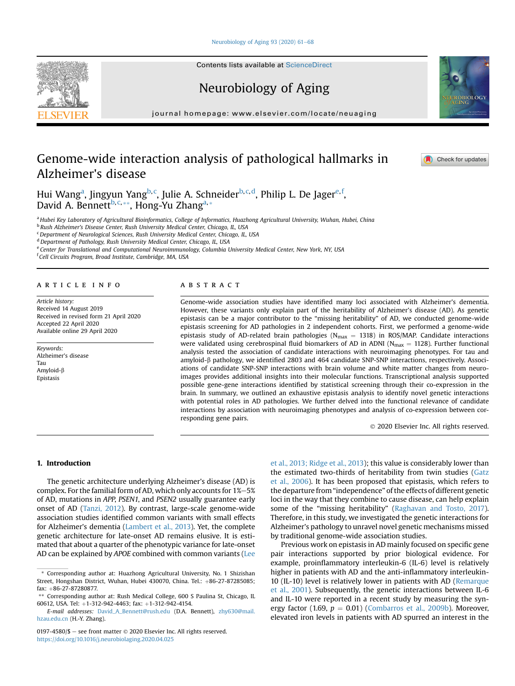[Neurobiology of Aging 93 \(2020\) 61](https://doi.org/10.1016/j.neurobiolaging.2020.04.025)-[68](https://doi.org/10.1016/j.neurobiolaging.2020.04.025)

Contents lists available at ScienceDirect

Neurobiology of Aging

journal homepage: [www.elsevier.com/locate/neuaging](http://www.elsevier.com/locate/neuaging)

# Genome-wide interaction analysis of pathological hallmarks in Alzheimer's disease

Hui W[a](#page-0-0)ng<sup>a</sup>, Jingyun Yang<sup>b, [c](#page-0-2)</sup>, Julie A. Schneider<sup>[b](#page-0-1), c, [d](#page-0-3)</sup>, Philip L. D[e](#page-0-4) Jager<sup>e, [f](#page-0-5)</sup>, David A. Bennett<sup>[b](#page-0-1), [c,](#page-0-2)[\\*\\*](#page-0-6)</sup>, Hong-Yu Zhang<sup>a,\*</sup>

<span id="page-0-0"></span>a Hubei Key Laboratory of Agricultural Bioinformatics, College of Informatics, Huazhong Agricultural University, Wuhan, Hubei, China

<span id="page-0-1"></span><sup>b</sup> Rush Alzheimer's Disease Center, Rush University Medical Center, Chicago, IL, USA

<span id="page-0-2"></span><sup>c</sup> Department of Neurological Sciences, Rush University Medical Center, Chicago, IL, USA

<span id="page-0-3"></span><sup>d</sup> Department of Pathology, Rush University Medical Center, Chicago, IL, USA

<span id="page-0-4"></span><sup>e</sup> Center for Translational and Computational Neuroimmunology, Columbia University Medical Center, New York, NY, USA

<span id="page-0-5"></span>f Cell Circuits Program, Broad Institute, Cambridge, MA, USA

#### article info

Article history: Received 14 August 2019 Received in revised form 21 April 2020 Accepted 22 April 2020 Available online 29 April 2020

Keywords: Alzheimer's disease Tau Amyloid-b Epistasis

# ABSTRACT

Genome-wide association studies have identified many loci associated with Alzheimer's dementia. However, these variants only explain part of the heritability of Alzheimer's disease (AD). As genetic epistasis can be a major contributor to the "missing heritability" of AD, we conducted genome-wide epistasis screening for AD pathologies in 2 independent cohorts. First, we performed a genome-wide epistasis study of AD-related brain pathologies ( $N_{max}$  = 1318) in ROS/MAP. Candidate interactions were validated using cerebrospinal fluid biomarkers of AD in ADNI ( $N_{max} = 1128$ ). Further functional analysis tested the association of candidate interactions with neuroimaging phenotypes. For tau and amyloid- $\beta$  pathology, we identified 2803 and 464 candidate SNP-SNP interactions, respectively. Associations of candidate SNP-SNP interactions with brain volume and white matter changes from neuroimages provides additional insights into their molecular functions. Transcriptional analysis supported possible gene-gene interactions identified by statistical screening through their co-expression in the brain. In summary, we outlined an exhaustive epistasis analysis to identify novel genetic interactions with potential roles in AD pathologies. We further delved into the functional relevance of candidate interactions by association with neuroimaging phenotypes and analysis of co-expression between corresponding gene pairs.

2020 Elsevier Inc. All rights reserved.

1. Introduction

The genetic architecture underlying Alzheimer's disease (AD) is complex. For the familial form of AD, which only accounts for  $1\%-5\%$ of AD, mutations in APP, PSEN1, and PSEN2 usually guarantee early onset of AD ([Tanzi, 2012\)](#page-7-0). By contrast, large-scale genome-wide association studies identified common variants with small effects for Alzheimer's dementia ([Lambert et al., 2013](#page-7-1)). Yet, the complete genetic architecture for late-onset AD remains elusive. It is estimated that about a quarter of the phenotypic variance for late-onset AD can be explained by APOE combined with common variants ([Lee](#page-7-2) [et al., 2013; Ridge et al., 2013\)](#page-7-2); this value is considerably lower than the estimated two-thirds of heritability from twin studies ([Gatz](#page-7-3) [et al., 2006\)](#page-7-3). It has been proposed that epistasis, which refers to the departure from "independence" of the effects of different genetic loci in the way that they combine to cause disease, can help explain some of the "missing heritability" [\(Raghavan and Tosto, 2017\)](#page-7-4). Therefore, in this study, we investigated the genetic interactions for Alzheimer's pathology to unravel novel genetic mechanisms missed by traditional genome-wide association studies.

Previous work on epistasis in AD mainly focused on specific gene pair interactions supported by prior biological evidence. For example, proinflammatory interleukin-6 (IL-6) level is relatively higher in patients with AD and the anti-inflammatory interleukin-10 (IL-10) level is relatively lower in patients with AD ([Remarque](#page-7-5) [et al., 2001](#page-7-5)). Subsequently, the genetic interactions between IL-6 and IL-10 were reported in a recent study by measuring the synergy factor (1.69,  $p = 0.01$ ) [\(Combarros et al., 2009b](#page-7-6)). Moreover, elevated iron levels in patients with AD spurred an interest in the





**Check for updates** 

<sup>\*</sup> Corresponding author at: Huazhong Agricultural University, No. 1 Shizishan Street, Hongshan District, Wuhan, Hubei 430070, China. Tel.: +86-27-87285085;  $fax: +86-27-87280877.$ 

<span id="page-0-6"></span><sup>\*\*</sup> Corresponding author at: Rush Medical College, 600 S Paulina St, Chicago, IL 60612, USA. Tel: +1-312-942-4463; fax: +1-312-942-4154.

E-mail addresses: [David\\_A\\_Bennett@rush.edu](mailto:David_A_Bennett@rush.edu) (D.A. Bennett), [zhy630@mail.](mailto:zhy630@mail.hzau.edu.cn) [hzau.edu.cn](mailto:zhy630@mail.hzau.edu.cn) (H.-Y. Zhang).

<sup>0197-4580/\$</sup>  $-$  see front matter  $\odot$  2020 Elsevier Inc. All rights reserved. <https://doi.org/10.1016/j.neurobiolaging.2020.04.025>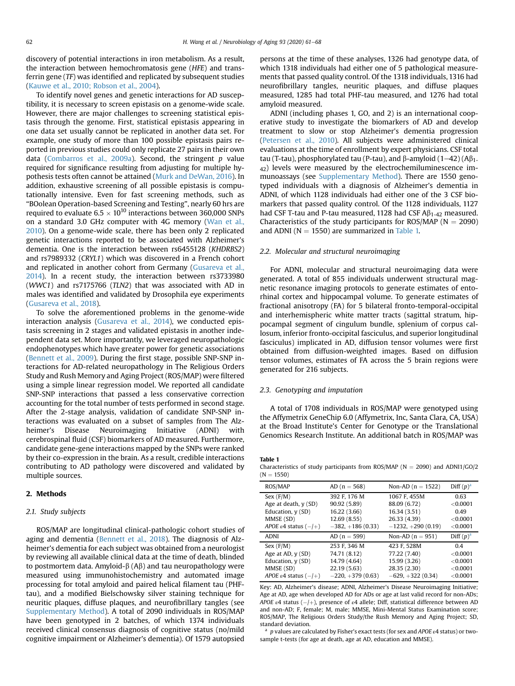discovery of potential interactions in iron metabolism. As a result, the interaction between hemochromatosis gene (HFE) and transferrin gene (TF) was identified and replicated by subsequent studies [\(Kauwe et al., 2010; Robson et al., 2004\)](#page-7-7).

To identify novel genes and genetic interactions for AD susceptibility, it is necessary to screen epistasis on a genome-wide scale. However, there are major challenges to screening statistical epistasis through the genome. First, statistical epistasis appearing in one data set usually cannot be replicated in another data set. For example, one study of more than 100 possible epistasis pairs reported in previous studies could only replicate 27 pairs in their own data ([Combarros et al., 2009a\)](#page-7-8). Second, the stringent  $p$  value required for significance resulting from adjusting for multiple hypothesis tests often cannot be attained [\(Murk and DeWan, 2016](#page-7-9)). In addition, exhaustive screening of all possible epistasis is computationally intensive. Even for fast screening methods, such as "BOolean Operation-based Screening and Testing", nearly 60 hrs are required to evaluate  $6.5 \times 10^{10}$  interactions between 360,000 SNPs on a standard 3.0 GHz computer with 4G memory ([Wan et al.,](#page-7-10) [2010](#page-7-10)). On a genome-wide scale, there has been only 2 replicated genetic interactions reported to be associated with Alzheimer's dementia. One is the interaction between rs6455128 (KHDRBS2) and rs7989332 (CRYL1) which was discovered in a French cohort and replicated in another cohort from Germany ([Gusareva et al.,](#page-7-11) [2014](#page-7-11)). In a recent study, the interaction between rs3733980 (WWC1) and rs7175766 (TLN2) that was associated with AD in males was identified and validated by Drosophila eye experiments [\(Gusareva et al., 2018](#page-7-12)).

To solve the aforementioned problems in the genome-wide interaction analysis [\(Gusareva et al., 2014](#page-7-11)), we conducted epistasis screening in 2 stages and validated epistasis in another independent data set. More importantly, we leveraged neuropathologic endophenotypes which have greater power for genetic associations [\(Bennett et al., 2009\)](#page-7-13). During the first stage, possible SNP-SNP interactions for AD-related neuropathology in The Religious Orders Study and Rush Memory and Aging Project (ROS/MAP) were filtered using a simple linear regression model. We reported all candidate SNP-SNP interactions that passed a less conservative correction accounting for the total number of tests performed in second stage. After the 2-stage analysis, validation of candidate SNP-SNP interactions was evaluated on a subset of samples from The Alzheimer's Disease Neuroimaging Initiative (ADNI) with cerebrospinal fluid (CSF) biomarkers of AD measured. Furthermore, candidate gene-gene interactions mapped by the SNPs were ranked by their co-expression in the brain. As a result, credible interactions contributing to AD pathology were discovered and validated by multiple sources.

# 2. Methods

#### 2.1. Study subjects

ROS/MAP are longitudinal clinical-pathologic cohort studies of aging and dementia ([Bennett et al., 2018\)](#page-7-14). The diagnosis of Alzheimer's dementia for each subject was obtained from a neurologist by reviewing all available clinical data at the time of death, blinded to postmortem data. Amyloid- $\beta$  (A $\beta$ ) and tau neuropathology were measured using immunohistochemistry and automated image processing for total amyloid and paired helical filament tau (PHFtau), and a modified Bielschowsky silver staining technique for neuritic plaques, diffuse plaques, and neurofibrillary tangles (see Supplementary Method). A total of 2090 individuals in ROS/MAP have been genotyped in 2 batches, of which 1374 individuals received clinical consensus diagnosis of cognitive status (no/mild cognitive impairment or Alzheimer's dementia). Of 1579 autopsied

persons at the time of these analyses, 1326 had genotype data, of which 1318 individuals had either one of 5 pathological measurements that passed quality control. Of the 1318 individuals, 1316 had neurofibrillary tangles, neuritic plaques, and diffuse plaques measured, 1285 had total PHF-tau measured, and 1276 had total amyloid measured.

ADNI (including phases 1, GO, and 2) is an international cooperative study to investigate the biomarkers of AD and develop treatment to slow or stop Alzheimer's dementia progression ([Petersen et al., 2010\)](#page-7-15). All subjects were administered clinical evaluations at the time of enrollment by expert physicians. CSF total tau (T-tau), phosphorylated tau (P-tau), and  $\beta$ -amyloid (1–42) (A $\beta$ <sub>1-</sub> 42) levels were measured by the electrochemiluminescence immunoassays (see Supplementary Method). There are 1550 genotyped individuals with a diagnosis of Alzheimer's dementia in ADNI, of which 1128 individuals had either one of the 3 CSF biomarkers that passed quality control. Of the 1128 individuals, 1127 had CSF T-tau and P-tau measured, 1128 had CSF  $\mathsf{AB}_{1-42}$  measured. Characteristics of the study participants for ROS/MAP ( $N = 2090$ ) and ADNI ( $N = 1550$ ) are summarized in [Table 1.](#page-1-0)

# 2.2. Molecular and structural neuroimaging

For ADNI, molecular and structural neuroimaging data were generated. A total of 855 individuals underwent structural magnetic resonance imaging protocols to generate estimates of entorhinal cortex and hippocampal volume. To generate estimates of fractional anisotropy (FA) for 5 bilateral fronto-temporal-occipital and interhemispheric white matter tracts (sagittal stratum, hippocampal segment of cingulum bundle, splenium of corpus callosum, inferior fronto-occipital fasciculus, and superior longitudinal fasciculus) implicated in AD, diffusion tensor volumes were first obtained from diffusion-weighted images. Based on diffusion tensor volumes, estimates of FA across the 5 brain regions were generated for 216 subjects.

## 2.3. Genotyping and imputation

A total of 1708 individuals in ROS/MAP were genotyped using the Affymetrix GeneChip 6.0 (Affymetrix, Inc, Santa Clara, CA, USA) at the Broad Institute's Center for Genotype or the Translational Genomics Research Institute. An additional batch in ROS/MAP was

<span id="page-1-0"></span>Table 1 Characteristics of study participants from ROS/MAP ( $N = 2090$ ) and ADNI1/GO/2  $(N = 1550)$ 

| ROS/MAP                           | $AD(n = 568)$      | Non-AD $(n = 1522)$ | Diff $(p)^a$ |
|-----------------------------------|--------------------|---------------------|--------------|
| Sex (F/M)                         | 392 F. 176 M       | 1067 F, 455M        | 0.63         |
| Age at death, y (SD)              | 90.92 (5.89)       | 88.09 (6.72)        | < 0.0001     |
| Education, y (SD)                 | 16.22 (3.66)       | 16.34 (3.51)        | 0.49         |
| MMSE (SD)                         | 12.69 (8.55)       | 26.33 (4.39)        | < 0.0001     |
| APOE $\varepsilon$ 4 status (-/+) | $-382, +186(0.33)$ | $-1232, +290(0.19)$ | < 0.0001     |
| <b>ADNI</b>                       | $AD(n = 599)$      | Non-AD $(n = 951)$  | Diff $(p)^a$ |
| Sex (F/M)                         | 253 F. 346 M       | 423 F. 528M         | 0.4          |
| Age at AD, y (SD)                 | 74.71 (8.12)       | 77.22 (7.40)        | < 0.0001     |
| Education, y (SD)                 | 14.79 (4.64)       | 15.99 (3.26)        | < 0.0001     |
| MMSE (SD)                         | 22.19 (5.63)       | 28.35 (2.30)        | < 0.0001     |
|                                   |                    |                     |              |
| APOE $\varepsilon$ 4 status (-/+) | $-220, +379(0.63)$ | $-629, +322(0.34)$  | < 0.0001     |

Key: AD, Alzheimer's disease; ADNI, Alzheimer's Disease Neuroimaging Initiative; Age at AD, age when developed AD for ADs or age at last valid record for non-ADs; APOE  $\varepsilon$ 4 status (-/+), presence of  $\varepsilon$ 4 allele; Diff, statistical difference between AD and non-AD; F, female; M, male; MMSE, Mini-Mental Status Examination score; ROS/MAP, The Religious Orders Study/the Rush Memory and Aging Project; SD, standard deviation.

<sup>a</sup> p values are calculated by Fisher's exact tests (for sex and APOE  $\epsilon$ 4 status) or twosample t-tests (for age at death, age at AD, education and MMSE).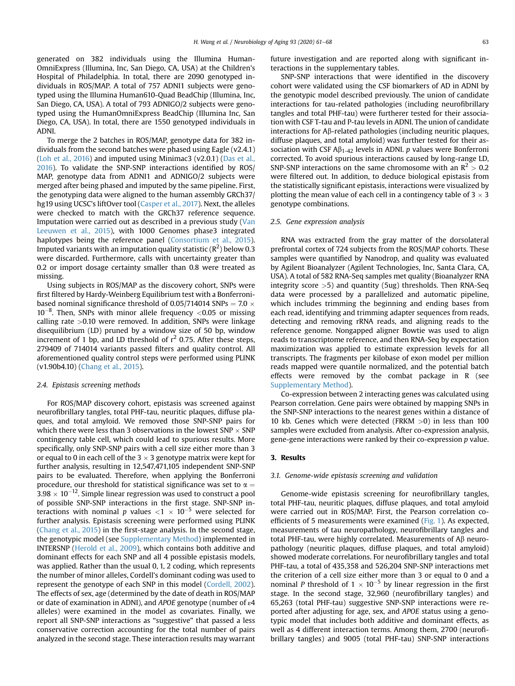generated on 382 individuals using the Illumina Human-OmniExpress (Illumina, Inc, San Diego, CA, USA) at the Children's Hospital of Philadelphia. In total, there are 2090 genotyped individuals in ROS/MAP. A total of 757 ADNI1 subjects were genotyped using the Illumina Human610-Quad BeadChip (Illumina, Inc, San Diego, CA, USA). A total of 793 ADNIGO/2 subjects were genotyped using the HumanOmniExpress BeadChip (Illumina Inc, San Diego, CA, USA). In total, there are 1550 genotyped individuals in ADNI.

To merge the 2 batches in ROS/MAP, genotype data for 382 individuals from the second batches were phased using Eagle (v2.4.1) ([Loh et al., 2016](#page-7-16)) and imputed using Minimac3 (v2.0.1) [\(Das et al.,](#page-7-17) [2016\)](#page-7-17). To validate the SNP-SNP interactions identified by ROS/ MAP, genotype data from ADNI1 and ADNIGO/2 subjects were merged after being phased and imputed by the same pipeline. First, the genotyping data were aligned to the human assembly GRCh37/ hg19 using UCSC's liftOver tool [\(Casper et al., 2017](#page-7-18)). Next, the alleles were checked to match with the GRCh37 reference sequence. Imputation were carried out as described in a previous study ([Van](#page-7-19) [Leeuwen et al., 2015](#page-7-19)), with 1000 Genomes phase3 integrated haplotypes being the reference panel ([Consortium et al., 2015](#page-7-20)). Imputed variants with an imputation quality statistic ( $\mathsf{R}^2$ ) below 0.3 were discarded. Furthermore, calls with uncertainty greater than 0.2 or import dosage certainty smaller than 0.8 were treated as missing.

Using subjects in ROS/MAP as the discovery cohort, SNPs were first filtered by Hardy-Weinberg Equilibrium test with a Bonferronibased nominal significance threshold of 0.05/714014 SNPs =  $7.0 \times$  $10^{-8}$ . Then, SNPs with minor allele frequency <0.05 or missing calling rate  $>0.10$  were removed. In addition, SNPs were linkage disequilibrium (LD) pruned by a window size of 50 bp, window increment of 1 bp, and LD threshold of  $r^2$  0.75. After these steps, 279409 of 714014 variants passed filters and quality control. All aforementioned quality control steps were performed using PLINK (v1.90b4.10) ([Chang et al., 2015\)](#page-7-21).

## 2.4. Epistasis screening methods

For ROS/MAP discovery cohort, epistasis was screened against neurofibrillary tangles, total PHF-tau, neuritic plaques, diffuse plaques, and total amyloid. We removed those SNP-SNP pairs for which there were less than 3 observations in the lowest SNP  $\times$  SNP contingency table cell, which could lead to spurious results. More specifically, only SNP-SNP pairs with a cell size either more than 3 or equal to 0 in each cell of the 3  $\times$  3 genotype matrix were kept for further analysis, resulting in 12,547,471,105 independent SNP-SNP pairs to be evaluated. Therefore, when applying the Bonferroni procedure, our threshold for statistical significance was set to  $\alpha =$  $3.98 \times 10^{-12}$ . Simple linear regression was used to construct a pool of possible SNP-SNP interactions in the first stage. SNP-SNP interactions with nominal p values  $<$ 1  $\times$  10<sup>-5</sup> were selected for further analysis. Epistasis screening were performed using PLINK ([Chang et al., 2015\)](#page-7-21) in the first-stage analysis. In the second stage, the genotypic model (see Supplementary Method) implemented in INTERSNP [\(Herold et al., 2009\)](#page-7-22), which contains both additive and dominant effects for each SNP and all 4 possible epistasis models, was applied. Rather than the usual 0, 1, 2 coding, which represents the number of minor alleles, Cordell's dominant coding was used to represent the genotype of each SNP in this model ([Cordell, 2002](#page-7-23)). The effects of sex, age (determined by the date of death in ROS/MAP or date of examination in ADNI), and APOE genotype (number of  $\varepsilon$ 4 alleles) were examined in the model as covariates. Finally, we report all SNP-SNP interactions as "suggestive" that passed a less conservative correction accounting for the total number of pairs analyzed in the second stage. These interaction results may warrant

future investigation and are reported along with significant interactions in the supplementary tables.

SNP-SNP interactions that were identified in the discovery cohort were validated using the CSF biomarkers of AD in ADNI by the genotypic model described previously. The union of candidate interactions for tau-related pathologies (including neurofibrillary tangles and total PHF-tau) were furtherer tested for their association with CSF T-tau and P-tau levels in ADNI. The union of candidate interactions for  $A\beta$ -related pathologies (including neuritic plaques, diffuse plaques, and total amyloid) was further tested for their association with CSF  $\mathsf{A}\beta_{1-42}$  levels in ADNI. p values were Bonferroni corrected. To avoid spurious interactions caused by long-range LD, SNP-SNP interactions on the same chromosome with an  $R^2 > 0.2$ were filtered out. In addition, to deduce biological epistasis from the statistically significant epistasis, interactions were visualized by plotting the mean value of each cell in a contingency table of 3  $\times$  3 genotype combinations.

### 2.5. Gene expression analysis

RNA was extracted from the gray matter of the dorsolateral prefrontal cortex of 724 subjects from the ROS/MAP cohorts. These samples were quantified by Nanodrop, and quality was evaluated by Agilent Bioanalyzer (Agilent Technologies, Inc, Santa Clara, CA, USA). A total of 582 RNA-Seq samples met quality (Bioanalyzer RNA integrity score >5) and quantity (5ug) thresholds. Then RNA-Seq data were processed by a parallelized and automatic pipeline, which includes trimming the beginning and ending bases from each read, identifying and trimming adapter sequences from reads, detecting and removing rRNA reads, and aligning reads to the reference genome. Nongapped aligner Bowtie was used to align reads to transcriptome reference, and then RNA-Seq by expectation maximization was applied to estimate expression levels for all transcripts. The fragments per kilobase of exon model per million reads mapped were quantile normalized, and the potential batch effects were removed by the combat package in R (see Supplementary Method).

Co-expression between 2 interacting genes was calculated using Pearson correlation. Gene pairs were obtained by mapping SNPs in the SNP-SNP interactions to the nearest genes within a distance of 10 kb. Genes which were detected (FRKM >0) in less than 100 samples were excluded from analysis. After co-expression analysis, gene-gene interactions were ranked by their co-expression p value.

## 3. Results

### 3.1. Genome-wide epistasis screening and validation

Genome-wide epistasis screening for neurofibrillary tangles, total PHF-tau, neuritic plaques, diffuse plaques, and total amyloid were carried out in ROS/MAP. First, the Pearson correlation coefficients of 5 measurements were examined [\(Fig. 1\)](#page-3-0). As expected, measurements of tau neuropathology, neurofibrillary tangles and total PHF-tau, were highly correlated. Measurements of  $A\beta$  neuropathology (neuritic plaques, diffuse plaques, and total amyloid) showed moderate correlations. For neurofibrillary tangles and total PHF-tau, a total of 435,358 and 526,204 SNP-SNP interactions met the criterion of a cell size either more than 3 or equal to 0 and a nominal P threshold of  $1 \times 10^{-5}$  by linear regression in the first stage. In the second stage, 32,960 (neurofibrillary tangles) and 65,263 (total PHF-tau) suggestive SNP-SNP interactions were reported after adjusting for age, sex, and APOE status using a genotypic model that includes both additive and dominant effects, as well as 4 different interaction terms. Among them, 2700 (neurofibrillary tangles) and 9005 (total PHF-tau) SNP-SNP interactions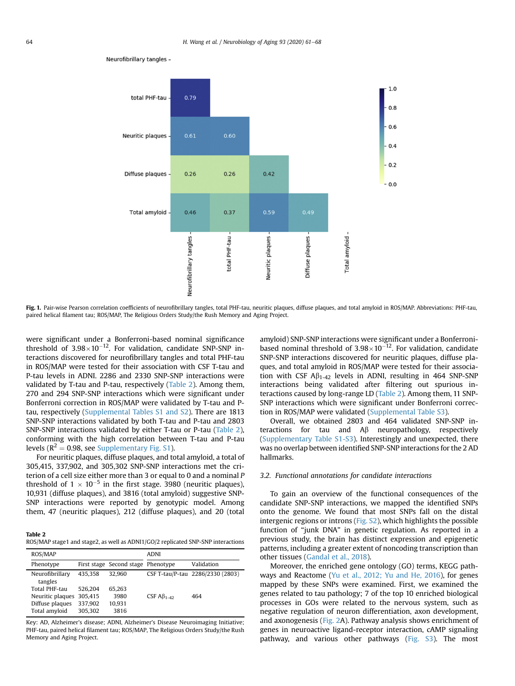

<span id="page-3-0"></span>Neurofibrillary tangles -

Fig. 1. Pair-wise Pearson correlation coefficients of neurofibrillary tangles, total PHF-tau, neuritic plaques, diffuse plaques, and total amyloid in ROS/MAP. Abbreviations: PHF-tau, paired helical filament tau; ROS/MAP, The Religious Orders Study/the Rush Memory and Aging Project.

were significant under a Bonferroni-based nominal significance threshold of  $3.98 \times 10^{-12}$ . For validation, candidate SNP-SNP interactions discovered for neurofibrillary tangles and total PHF-tau in ROS/MAP were tested for their association with CSF T-tau and P-tau levels in ADNI. 2286 and 2330 SNP-SNP interactions were validated by T-tau and P-tau, respectively ([Table 2](#page-3-1)). Among them, 270 and 294 SNP-SNP interactions which were significant under Bonferroni correction in ROS/MAP were validated by T-tau and Ptau, respectively (Supplemental Tables S1 and S2). There are 1813 SNP-SNP interactions validated by both T-tau and P-tau and 2803 SNP-SNP interactions validated by either T-tau or P-tau [\(Table 2\)](#page-3-1), conforming with the high correlation between T-tau and P-tau levels ( $R^2$  = 0.98, see Supplementary Fig. S1).

For neuritic plaques, diffuse plaques, and total amyloid, a total of 305,415, 337,902, and 305,302 SNP-SNP interactions met the criterion of a cell size either more than 3 or equal to 0 and a nominal P threshold of  $1 \times 10^{-5}$  in the first stage. 3980 (neuritic plaques), 10,931 (diffuse plaques), and 3816 (total amyloid) suggestive SNP-SNP interactions were reported by genotypic model. Among them, 47 (neuritic plaques), 212 (diffuse plaques), and 20 (total

# <span id="page-3-1"></span>Table 2

ROS/MAP stage1 and stage2, as well as ADNI1/GO/2 replicated SNP-SNP interactions

| ROS/MAP                                                               |                                          | <b>ADNI</b>                        |                 |                                  |
|-----------------------------------------------------------------------|------------------------------------------|------------------------------------|-----------------|----------------------------------|
| Phenotype                                                             |                                          | First stage Second stage Phenotype |                 | Validation                       |
| Neurofibrillary<br>tangles                                            | 435.358                                  | 32.960                             |                 | CSF T-tau/P-tau 2286/2330 (2803) |
| Total PHF-tau<br>Neuritic plaques<br>Diffuse plaques<br>Total amyloid | 526.204<br>305.415<br>337.902<br>305.302 | 65.263<br>3980<br>10.931<br>3816   | CSF $AB_{1-42}$ | 464                              |

Key: AD, Alzheimer's disease; ADNI, Alzheimer's Disease Neuroimaging Initiative; PHF-tau, paired helical filament tau; ROS/MAP, The Religious Orders Study/the Rush Memory and Aging Project.

amyloid) SNP-SNP interactions were significant under a Bonferronibased nominal threshold of  $3.98\times10^{-12}$ . For validation, candidate SNP-SNP interactions discovered for neuritic plaques, diffuse plaques, and total amyloid in ROS/MAP were tested for their association with CSF  $A\beta_{1-42}$  levels in ADNI, resulting in 464 SNP-SNP interactions being validated after filtering out spurious interactions caused by long-range LD [\(Table 2](#page-3-1)). Among them, 11 SNP-SNP interactions which were significant under Bonferroni correction in ROS/MAP were validated (Supplemental Table S3).

Overall, we obtained 2803 and 464 validated SNP-SNP interactions for tau and  $\mathsf{A}\beta$  neuropathology, respectively (Supplementary Table S1-S3). Interestingly and unexpected, there was no overlap between identified SNP-SNP interactions for the 2 AD hallmarks.

# 3.2. Functional annotations for candidate interactions

To gain an overview of the functional consequences of the candidate SNP-SNP interactions, we mapped the identified SNPs onto the genome. We found that most SNPs fall on the distal intergenic regions or introns (Fig. S2), which highlights the possible function of "junk DNA" in genetic regulation. As reported in a previous study, the brain has distinct expression and epigenetic patterns, including a greater extent of noncoding transcription than other tissues ([Gandal et al., 2018](#page-7-24)).

Moreover, the enriched gene ontology (GO) terms, KEGG pathways and Reactome [\(Yu et al., 2012; Yu and He, 2016\)](#page-7-25), for genes mapped by these SNPs were examined. First, we examined the genes related to tau pathology; 7 of the top 10 enriched biological processes in GOs were related to the nervous system, such as negative regulation of neuron differentiation, axon development, and axonogenesis [\(Fig. 2](#page-4-0)A). Pathway analysis shows enrichment of genes in neuroactive ligand-receptor interaction, cAMP signaling pathway, and various other pathways (Fig. S3). The most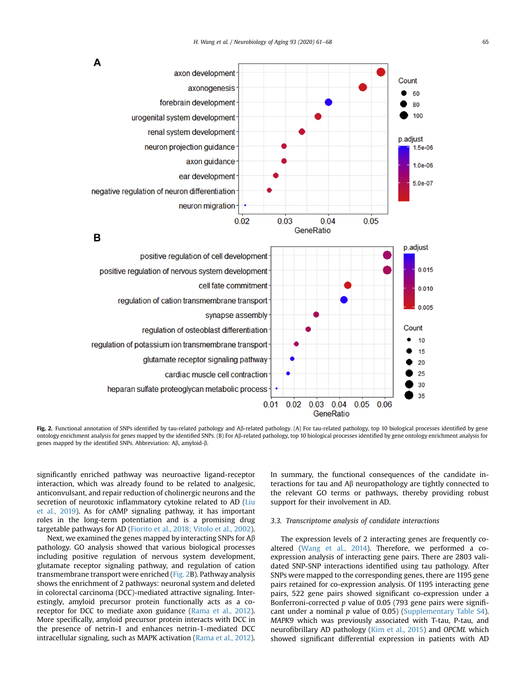<span id="page-4-0"></span>

Fig. 2. Functional annotation of SNPs identified by tau-related pathology and Aß-related pathology. (A) For tau-related pathology, top 10 biological processes identified by gene ontology enrichment analysis for genes mapped by the identified SNPs. (B) For Ab-related pathology, top 10 biological processes identified by gene ontology enrichment analysis for genes mapped by the identified SNPs. Abbreviation: A $\beta$ , amyloid- $\beta$ .

significantly enriched pathway was neuroactive ligand-receptor interaction, which was already found to be related to analgesic, anticonvulsant, and repair reduction of cholinergic neurons and the secretion of neurotoxic inflammatory cytokine related to AD ([Liu](#page-7-26) [et al., 2019](#page-7-26)). As for cAMP signaling pathway, it has important roles in the long-term potentiation and is a promising drug targetable pathways for AD ([Fiorito et al., 2018; Vitolo et al., 2002](#page-7-27)).

Next, we examined the genes mapped by interacting SNPs for  $A\beta$ pathology. GO analysis showed that various biological processes including positive regulation of nervous system development, glutamate receptor signaling pathway, and regulation of cation transmembrane transport were enriched ([Fig. 2](#page-4-0)B). Pathway analysis shows the enrichment of 2 pathways: neuronal system and deleted in colorectal carcinoma (DCC)-mediated attractive signaling. Interestingly, amyloid precursor protein functionally acts as a co-receptor for DCC to mediate axon guidance ([Rama et al., 2012](#page-7-28)). More specifically, amyloid precursor protein interacts with DCC in the presence of netrin-1 and enhances netrin-1-mediated DCC intracellular signaling, such as MAPK activation ([Rama et al., 2012](#page-7-28)).

In summary, the functional consequences of the candidate interactions for tau and  $A\beta$  neuropathology are tightly connected to the relevant GO terms or pathways, thereby providing robust support for their involvement in AD.

## 3.3. Transcriptome analysis of candidate interactions

The expression levels of 2 interacting genes are frequently coaltered ([Wang et al., 2014](#page-7-29)). Therefore, we performed a coexpression analysis of interacting gene pairs. There are 2803 validated SNP-SNP interactions identified using tau pathology. After SNPs were mapped to the corresponding genes, there are 1195 gene pairs retained for co-expression analysis. Of 1195 interacting gene pairs, 522 gene pairs showed significant co-expression under a Bonferroni-corrected  $p$  value of 0.05 (793 gene pairs were significant under a nominal  $p$  value of 0.05) (Supplementary Table S4). MAPK9 which was previously associated with T-tau, P-tau, and neurofibrillary AD pathology [\(Kim et al., 2015](#page-7-30)) and OPCML which showed significant differential expression in patients with AD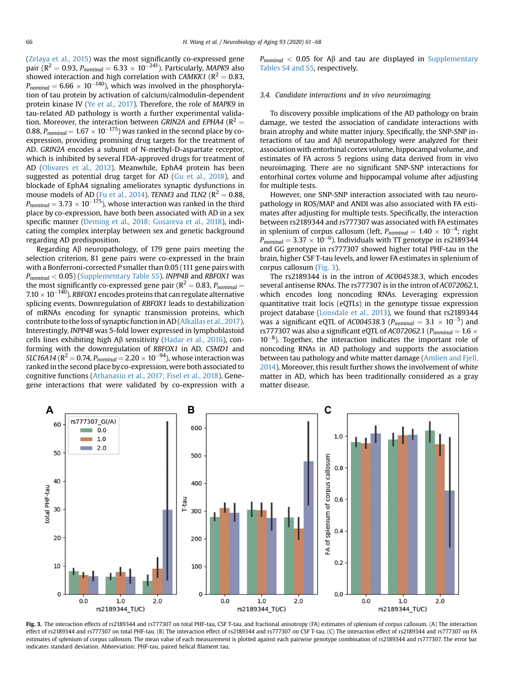[\(Zelaya et al., 2015\)](#page-7-31) was the most significantly co-expressed gene pair (R<sup>2</sup> = 0.93,  $P_{nominal} = 6.33 \times 10^{-241}$ ). Particularly, MAPK9 also showed interaction and high correlation with CAMKK1 ( $R^2 = 0.83$ ,  $P_{nominal} = 6.66 \times 10^{-140}$ ), which was involved in the phosphorylation of tau protein by activation of calcium/calmodulin-dependent protein kinase IV ([Ye et al., 2017\)](#page-7-32). Therefore, the role of MAPK9 in tau-related AD pathology is worth a further experimental validation. Moreover, the interaction between GRIN2A and EPHA4 ( $R^2 =$ 0.88,  $P_{nominal} = 1.67 \times 10^{-175}$ ) was ranked in the second place by coexpression, providing promising drug targets for the treatment of AD. GRIN2A encodes a subunit of N-methyl-D-aspartate receptor, which is inhibited by several FDA-approved drugs for treatment of AD ([Olivares et al., 2012](#page-7-33)). Meanwhile, EphA4 protein has been suggested as potential drug target for AD ([Gu et al., 2018\)](#page-7-34), and blockade of EphA4 signaling ameliorates synaptic dysfunctions in mouse models of AD [\(Fu et al., 2014\)](#page-7-35). TENM3 and TLN2 ( $R^2 = 0.88$ ,  $P_{nominal} = 3.73 \times 10^{-175}$ ), whose interaction was ranked in the third place by co-expression, have both been associated with AD in a sex specific manner ([Deming et al., 2018; Gusareva et al., 2018\)](#page-7-36), indicating the complex interplay between sex and genetic background regarding AD predisposition.

Regarding Ab neuropathology, of 179 gene pairs meeting the selection criterion, 81 gene pairs were co-expressed in the brain with a Bonferroni-corrected P smaller than 0.05 (111 gene pairs with  $P_{nominal}$  < 0.05) (Supplementary Table S5). INPP4B and RBFOX1 was the most significantly co-expressed gene pair ( $R^2 = 0.83$ ,  $P_{nominal} =$  $7.10 \times 10^{-140}$ ). RBFOX1 encodes proteins that can regulate alternative splicing events. Downregulation of RBFOX1 leads to destabilization of mRNAs encoding for synaptic transmission proteins, which contribute to the loss of synaptic function in AD ([Alkallas et al., 2017\)](#page-7-37). Interestingly, INPP4B was 5-fold lower expressed in lymphoblastoid cells lines exhibiting high  $\mathsf{A}\beta$  sensitivity [\(Hadar et al., 2016](#page-7-38)), conforming with the downregulation of RBFOX1 in AD. CSMD1 and SLC16A14 (R<sup>2</sup> = 0.74,  $P_{nominal}$  = 2.20  $\times$  10<sup>-94</sup>), whose interaction was ranked in the second place by co-expression, were both associated to cognitive functions [\(Athanasiu et al., 2017; Fisel et al., 2018\)](#page-7-39). Genegene interactions that were validated by co-expression with a

 $P_{nominal}$  < 0.05 for A $\beta$  and tau are displayed in Supplementary Tables S4 and S5, respectively.

# 3.4. Candidate interactions and in vivo neuroimaging

To discovery possible implications of the AD pathology on brain damage, we tested the association of candidate interactions with brain atrophy and white matter injury. Specifically, the SNP-SNP interactions of tau and  $A\beta$  neuropathology were analyzed for their association with entorhinal cortex volume, hippocampal volume, and estimates of FA across 5 regions using data derived from in vivo neuroimaging. There are no significant SNP-SNP interactions for entorhinal cortex volume and hippocampal volume after adjusting for multiple tests.

However, one SNP-SNP interaction associated with tau neuropathology in ROS/MAP and ANDI was also associated with FA estimates after adjusting for multiple tests. Specifically, the interaction between rs2189344 and rs777307 was associated with FA estimates in splenium of corpus callosum (left,  $P_{nominal} = 1.40 \times 10^{-4}$ ; right  $P_{nominal} = 3.37 \times 10^{-6}$ ). Individuals with TT genotype in rs2189344 and GG genotype in rs777307 showed higher total PHF-tau in the brain, higher CSF T-tau levels, and lower FA estimates in splenium of corpus callosum ([Fig. 3\)](#page-5-0).

The rs2189344 is in the intron of AC004538.3, which encodes several antisense RNAs. The rs777307 is in the intron of AC072062.1, which encodes long noncoding RNAs. Leveraging expression quantitative trait locis (eQTLs) in the genotype tissue expression project database ([Lonsdale et al., 2013\)](#page-7-40), we found that rs2189344 was a significant eQTL of AC004538.3 ( $P_{nominal} = 3.1 \times 10^{-5}$ ) and rs777307 was also a significant eQTL of AC072062.1 ( $P_{nominal} = 1.6 \times$  $10^{-8}$ ). Together, the interaction indicates the important role of noncoding RNAs in AD pathology and supports the association between tau pathology and white matter damage ([Amlien and Fjell,](#page-7-41) [2014\)](#page-7-41). Moreover, this result further shows the involvement of white matter in AD, which has been traditionally considered as a gray matter disease.

<span id="page-5-0"></span>

Fig. 3. The interaction effects of rs2189344 and rs777307 on total PHF-tau, CSF T-tau, and fractional anisotropy (FA) estimates of splenium of corpus callosum. (A) The interaction effect of rs2189344 and rs777307 on total PHF-tau. (B) The interaction effect of rs2189344 and rs777307 on CSF T-tau. (C) The interaction effect of rs2189344 and rs777307 on FA estimates of splenium of corpus callosum. The mean value of each measurement is plotted against each pairwise genotype combination of rs2189344 and rs777307. The error bar indicates standard deviation. Abbreviation: PHF-tau, paired helical filament tau.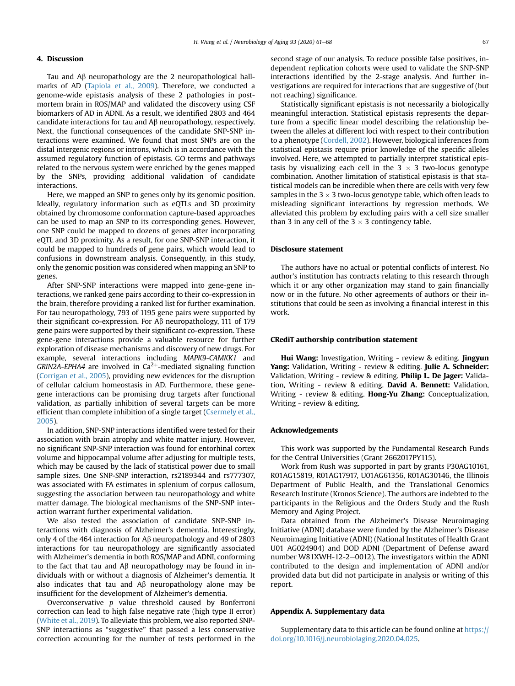# 4. Discussion

Tau and  $\mathsf{A}\beta$  neuropathology are the 2 neuropathological hallmarks of AD ([Tapiola et al., 2009](#page-7-42)). Therefore, we conducted a genome-wide epistasis analysis of these 2 pathologies in postmortem brain in ROS/MAP and validated the discovery using CSF biomarkers of AD in ADNI. As a result, we identified 2803 and 464 candidate interactions for tau and  $\mathsf{A}\beta$  neuropathology, respectively. Next, the functional consequences of the candidate SNP-SNP interactions were examined. We found that most SNPs are on the distal intergenic regions or introns, which is in accordance with the assumed regulatory function of epistasis. GO terms and pathways related to the nervous system were enriched by the genes mapped by the SNPs, providing additional validation of candidate interactions.

Here, we mapped an SNP to genes only by its genomic position. Ideally, regulatory information such as eQTLs and 3D proximity obtained by chromosome conformation capture-based approaches can be used to map an SNP to its corresponding genes. However, one SNP could be mapped to dozens of genes after incorporating eQTL and 3D proximity. As a result, for one SNP-SNP interaction, it could be mapped to hundreds of gene pairs, which would lead to confusions in downstream analysis. Consequently, in this study, only the genomic position was considered when mapping an SNP to genes.

After SNP-SNP interactions were mapped into gene-gene interactions, we ranked gene pairs according to their co-expression in the brain, therefore providing a ranked list for further examination. For tau neuropathology, 793 of 1195 gene pairs were supported by their significant co-expression. For  $\mathsf{A}\beta$  neuropathology, 111 of 179 gene pairs were supported by their significant co-expression. These gene-gene interactions provide a valuable resource for further exploration of disease mechanisms and discovery of new drugs. For example, several interactions including MAPK9-CAMKK1 and GRIN2A-EPHA4 are involved in  $Ca^{2+}$ -mediated signaling function ([Corrigan et al., 2005](#page-7-43)), providing new evidences for the disruption of cellular calcium homeostasis in AD. Furthermore, these genegene interactions can be promising drug targets after functional validation, as partially inhibition of several targets can be more efficient than complete inhibition of a single target ([Csermely et al.,](#page-7-44) [2005\)](#page-7-44).

In addition, SNP-SNP interactions identified were tested for their association with brain atrophy and white matter injury. However, no significant SNP-SNP interaction was found for entorhinal cortex volume and hippocampal volume after adjusting for multiple tests, which may be caused by the lack of statistical power due to small sample sizes. One SNP-SNP interaction, rs2189344 and rs777307, was associated with FA estimates in splenium of corpus callosum, suggesting the association between tau neuropathology and white matter damage. The biological mechanisms of the SNP-SNP interaction warrant further experimental validation.

We also tested the association of candidate SNP-SNP interactions with diagnosis of Alzheimer's dementia. Interestingly, only 4 of the 464 interaction for A $\beta$  neuropathology and 49 of 2803 interactions for tau neuropathology are significantly associated with Alzheimer's dementia in both ROS/MAP and ADNI, conforming to the fact that tau and  $\mathsf{A}\beta$  neuropathology may be found in individuals with or without a diagnosis of Alzheimer's dementia. It also indicates that tau and  $\mathsf{A}\beta$  neuropathology alone may be insufficient for the development of Alzheimer's dementia.

Overconservative p value threshold caused by Bonferroni correction can lead to high false negative rate (high type II error) ([White et al., 2019\)](#page-7-45). To alleviate this problem, we also reported SNP-SNP interactions as "suggestive" that passed a less conservative correction accounting for the number of tests performed in the second stage of our analysis. To reduce possible false positives, independent replication cohorts were used to validate the SNP-SNP interactions identified by the 2-stage analysis. And further investigations are required for interactions that are suggestive of (but not reaching) significance.

Statistically significant epistasis is not necessarily a biologically meaningful interaction. Statistical epistasis represents the departure from a specific linear model describing the relationship between the alleles at different loci with respect to their contribution to a phenotype ([Cordell, 2002\)](#page-7-23). However, biological inferences from statistical epistasis require prior knowledge of the specific alleles involved. Here, we attempted to partially interpret statistical epistasis by visualizing each cell in the  $3 \times 3$  two-locus genotype combination. Another limitation of statistical epistasis is that statistical models can be incredible when there are cells with very few samples in the 3  $\times$  3 two-locus genotype table, which often leads to misleading significant interactions by regression methods. We alleviated this problem by excluding pairs with a cell size smaller than 3 in any cell of the 3  $\times$  3 contingency table.

# Disclosure statement

The authors have no actual or potential conflicts of interest. No author's institution has contracts relating to this research through which it or any other organization may stand to gain financially now or in the future. No other agreements of authors or their institutions that could be seen as involving a financial interest in this work.

#### CRediT authorship contribution statement

Hui Wang: Investigation, Writing - review & editing. Jingyun Yang: Validation, Writing - review & editing. **Julie A. Schneider:** Validation, Writing - review & editing. Philip L. De Jager: Validation, Writing - review & editing. David A. Bennett: Validation, Writing - review & editing. Hong-Yu Zhang: Conceptualization, Writing - review & editing.

# Acknowledgements

This work was supported by the Fundamental Research Funds for the Central Universities (Grant 2662017PY115).

Work from Rush was supported in part by grants P30AG10161, R01AG15819, R01AG17917, U01AG61356, R01AG30146, the Illinois Department of Public Health, and the Translational Genomics Research Institute (Kronos Science). The authors are indebted to the participants in the Religious and the Orders Study and the Rush Memory and Aging Project.

Data obtained from the Alzheimer's Disease Neuroimaging Initiative (ADNI) database were funded by the Alzheimer's Disease Neuroimaging Initiative (ADNI) (National Institutes of Health Grant U01 AG024904) and DOD ADNI (Department of Defense award number W81XWH-12-2-0012). The investigators within the ADNI contributed to the design and implementation of ADNI and/or provided data but did not participate in analysis or writing of this report.

#### Appendix A. Supplementary data

Supplementary data to this article can be found online at [https://](https://doi.org/10.1016/j.neurobiolaging.2020.04.025) [doi.org/10.1016/j.neurobiolaging.2020.04.025](https://doi.org/10.1016/j.neurobiolaging.2020.04.025).